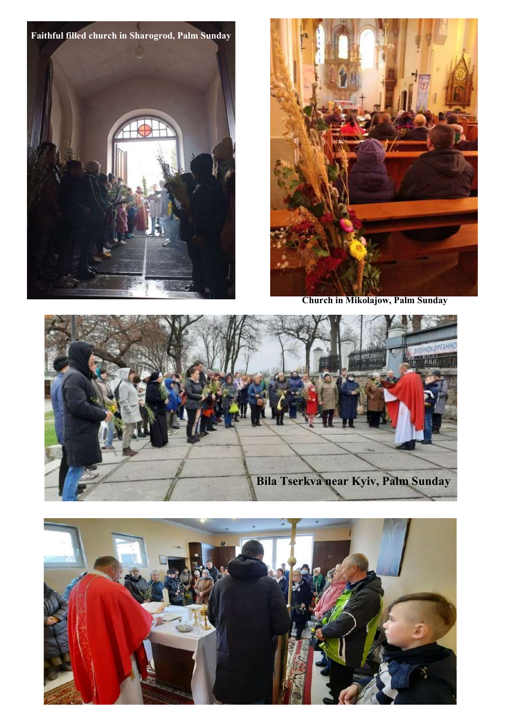Faithful filled church in Sharogrod, Palm Sunday



Church in Mikolajow, Palm Sunday



![](_page_0_Picture_4.jpeg)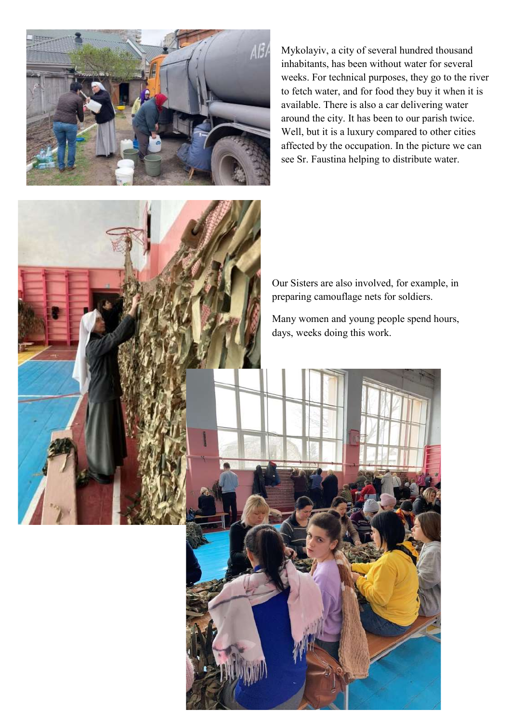![](_page_1_Picture_0.jpeg)

 available. There is also a car delivering water Mykolayiv, a city of several hundred thousand inhabitants, has been without water for several weeks. For technical purposes, they go to the river to fetch water, and for food they buy it when it is around the city. It has been to our parish twice. Well, but it is a luxury compared to other cities affected by the occupation. In the picture we can see Sr. Faustina helping to distribute water.

![](_page_1_Picture_2.jpeg)

Our Sisters are also involved, for example, in preparing camouflage nets for soldiers.

Many women and young people spend hours, days, weeks doing this work.

![](_page_1_Picture_5.jpeg)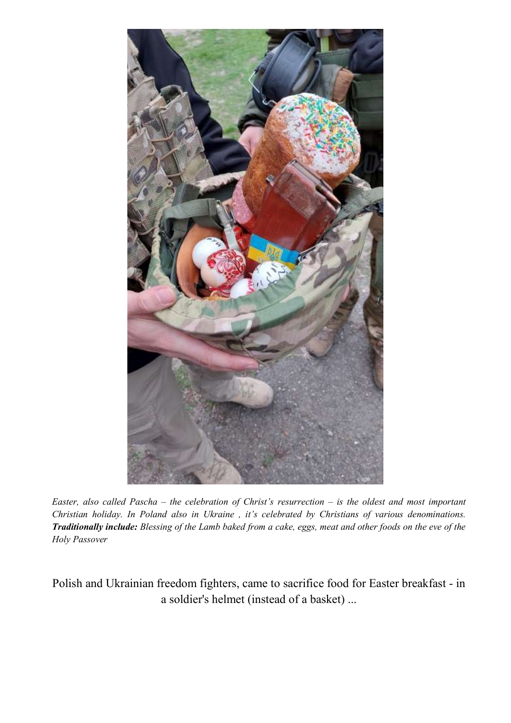![](_page_2_Picture_0.jpeg)

Easter, also called Pascha – the celebration of Christ's resurrection – is the oldest and most important Christian holiday. In Poland also in Ukraine , it's celebrated by Christians of various denominations. Traditionally include: Blessing of the Lamb baked from a cake, eggs, meat and other foods on the eve of the Holy Passover

Polish and Ukrainian freedom fighters, came to sacrifice food for Easter breakfast - in a soldier's helmet (instead of a basket) ...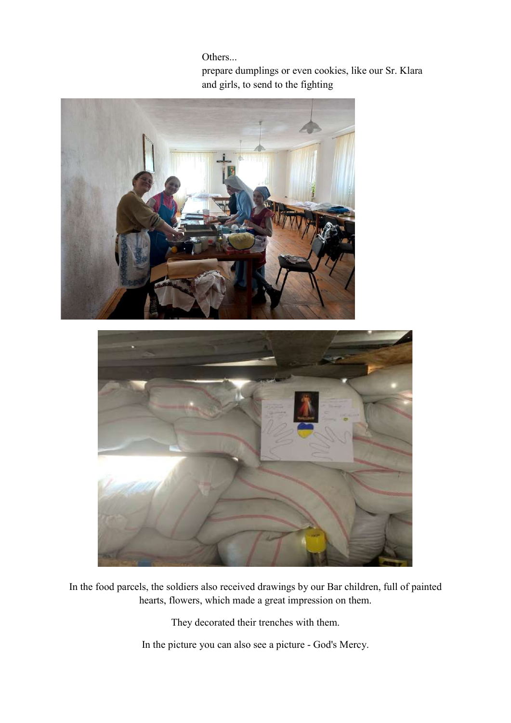Others...

prepare dumplings or even cookies, like our Sr. Klara and girls, to send to the fighting

![](_page_3_Picture_2.jpeg)

In the food parcels, the soldiers also received drawings by our Bar children, full of painted hearts, flowers, which made a great impression on them.

They decorated their trenches with them.

In the picture you can also see a picture - God's Mercy.